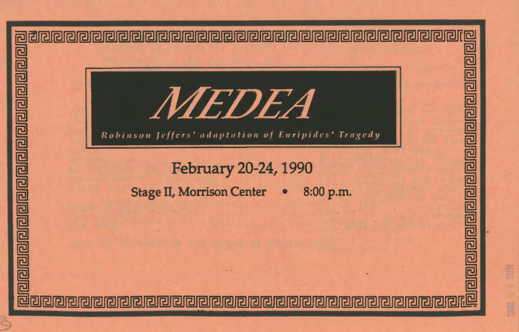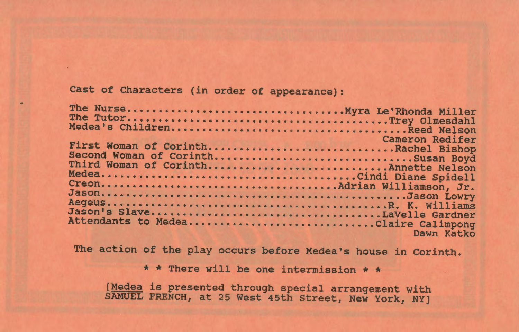Cast of Characters (in order of appearance):

| Cameron Redifer<br>First Woman of CorinthRachel Bishop                    |
|---------------------------------------------------------------------------|
| Second Woman of CorinthSusan Boyd<br>Third Woman of CorinthAnnette Nelson |
|                                                                           |
|                                                                           |
| Attendants to MedeaClaire Calimpong<br>Dawn Katko                         |
|                                                                           |

The action of the play occurs before Medea's house in Corinth.

\* \* There will be one intermission \* \*

(Medea is presented through special arrangement with SAMUEL FRENCH, at 25 West 45th Street, New York, NY]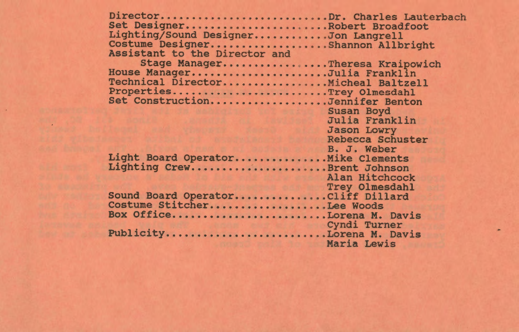| DirectorDr. Charles Lauterbach      |                    |
|-------------------------------------|--------------------|
| Set DesignerRobert Broadfoot        |                    |
| Lighting/Sound DesignerJon Langrell |                    |
| Costume DesignerShannon Allbright   |                    |
| Assistant to the Director and       |                    |
| Stage ManagerTheresa Kraipowich     |                    |
| House ManagerJulia Franklin         |                    |
| Technical DirectorMicheal Baltzell  |                    |
| PropertiesTrey Olmesdahl            |                    |
| Set ConstructionJennifer Benton     |                    |
|                                     | Susan Boyd         |
|                                     | Julia Franklin     |
|                                     | 220 653 6          |
| <u>Variation</u>                    | <b>Jason Lowry</b> |
|                                     | Rebecca Schuster   |
|                                     | B. J. Weber        |
| Light Board OperatorMike Clements   |                    |
| Lighting CrewBrent Johnson          |                    |
|                                     | Alan Hitchcock     |
|                                     | Trey Olmesdahl     |
| Sound Board OperatorCliff Dillard   |                    |
| Costume StitcherLee Woods           |                    |
| Box OfficeLorena M. Davis           |                    |
|                                     | Cyndi Turner       |
| PublicityLorena M. Davis            |                    |
|                                     | Maria Lewis        |
|                                     |                    |

 $\sim$